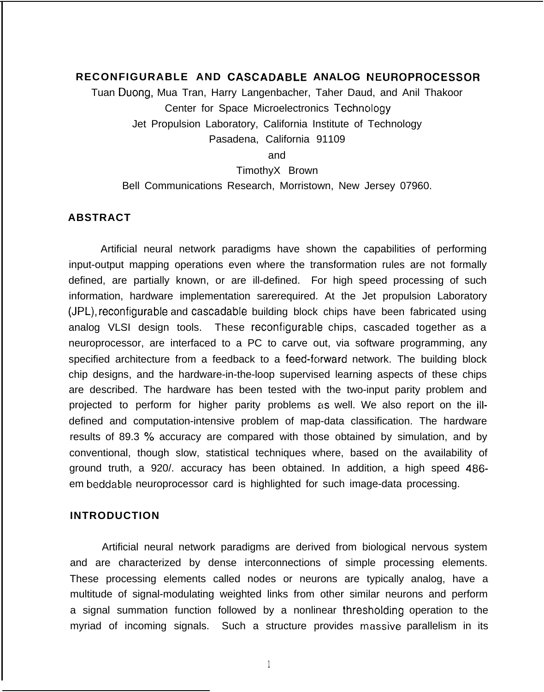# **RECONFIGURABLE AND CASCADABLE ANALOG NEUROPROCESSOR**

Tuan Duong, Mua Tran, Harry Langenbacher, Taher Daud, and Anil Thakoor Center for Space Microelectronics Technology Jet Propulsion Laboratory, California Institute of Technology Pasadena, California 91109

and

#### TimothyX Brown

Bell Communications Research, Morristown, New Jersey 07960.

#### **ABSTRACT**

Artificial neural network paradigms have shown the capabilities of performing input-output mapping operations even where the transformation rules are not formally defined, are partially known, or are ill-defined. For high speed processing of such information, hardware implementation sarerequired. At the Jet propulsion Laboratory (JPL), reconfigurable and cascadable building block chips have been fabricated using analog VLSI design tools. These reconfigurable chips, cascaded together as a neuroprocessor, are interfaced to a PC to carve out, via software programming, any specified architecture from a feedback to a feed-forward network. The building block chip designs, and the hardware-in-the-loop supervised learning aspects of these chips are described. The hardware has been tested with the two-input parity problem and projected to perform for higher parity problems as well. We also report on the illdefined and computation-intensive problem of map-data classification. The hardware results of 89.3 % accuracy are compared with those obtained by simulation, and by conventional, though slow, statistical techniques where, based on the availability of ground truth, a 920/. accuracy has been obtained. In addition, a high speed 486 em beddable neuroprocessor card is highlighted for such image-data processing.

#### **INTRODUCTION**

Artificial neural network paradigms are derived from biological nervous system and are characterized by dense interconnections of simple processing elements. These processing elements called nodes or neurons are typically analog, have a multitude of signal-modulating weighted links from other similar neurons and perform a signal summation function followed by a nonlinear thresholding operation to the myriad of incoming signals. Such a structure provides massive parallelism in its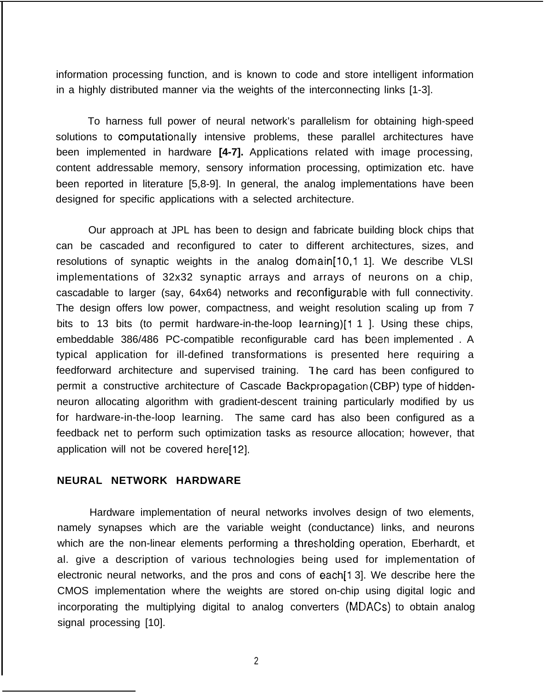information processing function, and is known to code and store intelligent information in a highly distributed manner via the weights of the interconnecting links [1-3].

To harness full power of neural network's parallelism for obtaining high-speed solutions to computationally intensive problems, these parallel architectures have been implemented in hardware **[4-7].** Applications related with image processing, content addressable memory, sensory information processing, optimization etc. have been reported in literature [5,8-9]. In general, the analog implementations have been designed for specific applications with a selected architecture.

Our approach at JPL has been to design and fabricate building block chips that can be cascaded and reconfigured to cater to different architectures, sizes, and resolutions of synaptic weights in the analog domain[10,1 1]. We describe VLSI implementations of 32x32 synaptic arrays and arrays of neurons on a chip, cascadable to larger (say, 64x64) networks and reconfigurable with full connectivity. The design offers low power, compactness, and weight resolution scaling up from 7 bits to 13 bits (to permit hardware-in-the-loop learning)[1 1 ]. Using these chips, embeddable 386/486 PC-compatible reconfigurable card has been implemented . A typical application for ill-defined transformations is presented here requiring a feedforward architecture and supervised training. The card has been configured to permit a constructive architecture of Cascade Backpropagation (CBP) type of hiddenneuron allocating algorithm with gradient-descent training particularly modified by us for hardware-in-the-loop learning. The same card has also been configured as a feedback net to perform such optimization tasks as resource allocation; however, that application will not be covered here[12].

### **NEURAL NETWORK HARDWARE**

Hardware implementation of neural networks involves design of two elements, namely synapses which are the variable weight (conductance) links, and neurons which are the non-linear elements performing a thresholding operation, Eberhardt, et al. give a description of various technologies being used for implementation of electronic neural networks, and the pros and cons of each<sup>[1 3]</sup>. We describe here the CMOS implementation where the weights are stored on-chip using digital logic and incorporating the multiplying digital to analog converters (MDACS) to obtain analog signal processing [10].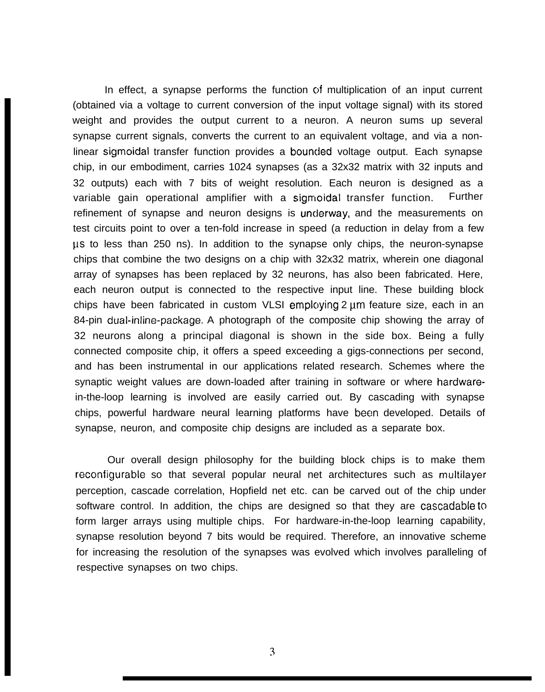In effect, a synapse performs the function of multiplication of an input current (obtained via a voltage to current conversion of the input voltage signal) with its stored weight and provides the output current to a neuron. A neuron sums up several synapse current signals, converts the current to an equivalent voltage, and via a nonlinear sigmoidal transfer function provides a bounded voltage output. Each synapse chip, in our embodiment, carries 1024 synapses (as a 32x32 matrix with 32 inputs and 32 outputs) each with 7 bits of weight resolution. Each neuron is designed as a variable gain operational amplifier with a sigmoidal transfer function. Further refinement of synapse and neuron designs is underway, and the measurements on test circuits point to over a ten-fold increase in speed (a reduction in delay from a few US to less than 250 ns). In addition to the synapse only chips, the neuron-synapse chips that combine the two designs on a chip with 32x32 matrix, wherein one diagonal array of synapses has been replaced by 32 neurons, has also been fabricated. Here, each neuron output is connected to the respective input line. These building block chips have been fabricated in custom VLSI employing 2 um feature size, each in an 84-pin dual-inline-package. A photograph of the composite chip showing the array of 32 neurons along a principal diagonal is shown in the side box. Being a fully connected composite chip, it offers a speed exceeding a gigs-connections per second, and has been instrumental in our applications related research. Schemes where the synaptic weight values are down-loaded after training in software or where hardwarein-the-loop learning is involved are easily carried out. By cascading with synapse chips, powerful hardware neural learning platforms have been developed. Details of synapse, neuron, and composite chip designs are included as a separate box.

Our overall design philosophy for the building block chips is to make them reconfigurable so that several popular neural net architectures such as multilayer perception, cascade correlation, Hopfield net etc. can be carved out of the chip under software control. In addition, the chips are designed so that they are cascadable to form larger arrays using multiple chips. For hardware-in-the-loop learning capability, synapse resolution beyond 7 bits would be required. Therefore, an innovative scheme for increasing the resolution of the synapses was evolved which involves paralleling of respective synapses on two chips.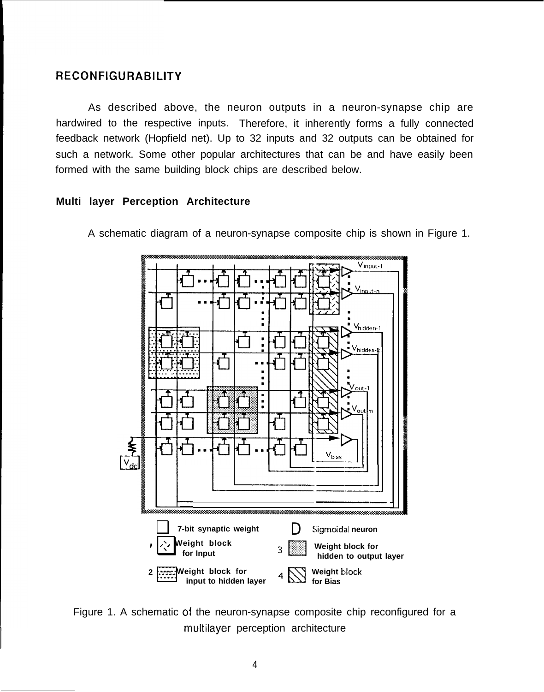# **RECONFIGURABILITY**

As described above, the neuron outputs in a neuron-synapse chip are hardwired to the respective inputs. Therefore, it inherently forms a fully connected feedback network (Hopfield net). Up to 32 inputs and 32 outputs can be obtained for such a network. Some other popular architectures that can be and have easily been formed with the same building block chips are described below.

# **Multi layer Perception Architecture**





Figure 1. A schematic of the neuron-synapse composite chip reconfigured for a multilayer perception architecture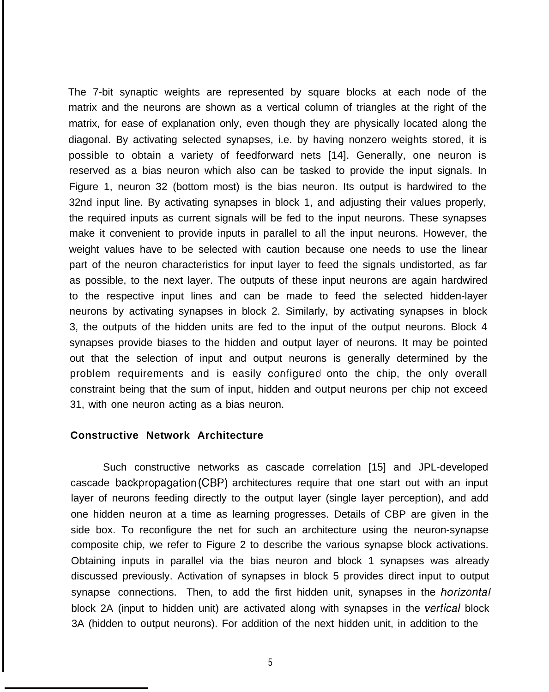The 7-bit synaptic weights are represented by square blocks at each node of the matrix and the neurons are shown as a vertical column of triangles at the right of the matrix, for ease of explanation only, even though they are physically located along the diagonal. By activating selected synapses, i.e. by having nonzero weights stored, it is possible to obtain a variety of feedforward nets [14]. Generally, one neuron is reserved as a bias neuron which also can be tasked to provide the input signals. In Figure 1, neuron 32 (bottom most) is the bias neuron. Its output is hardwired to the 32nd input line. By activating synapses in block 1, and adjusting their values properly, the required inputs as current signals will be fed to the input neurons. These synapses make it convenient to provide inputs in parallel to all the input neurons. However, the weight values have to be selected with caution because one needs to use the linear part of the neuron characteristics for input layer to feed the signals undistorted, as far as possible, to the next layer. The outputs of these input neurons are again hardwired to the respective input lines and can be made to feed the selected hidden-layer neurons by activating synapses in block 2. Similarly, by activating synapses in block 3, the outputs of the hidden units are fed to the input of the output neurons. Block 4 synapses provide biases to the hidden and output layer of neurons. It may be pointed out that the selection of input and output neurons is generally determined by the problem requirements and is easily configured onto the chip, the only overall constraint being that the sum of input, hidden and output neurons per chip not exceed 31, with one neuron acting as a bias neuron.

### **Constructive Network Architecture**

Such constructive networks as cascade correlation [15] and JPL-developed cascade backpropagation (CBP) architectures require that one start out with an input layer of neurons feeding directly to the output layer (single layer perception), and add one hidden neuron at a time as learning progresses. Details of CBP are given in the side box. To reconfigure the net for such an architecture using the neuron-synapse composite chip, we refer to Figure 2 to describe the various synapse block activations. Obtaining inputs in parallel via the bias neuron and block 1 synapses was already discussed previously. Activation of synapses in block 5 provides direct input to output synapse connections. Then, to add the first hidden unit, synapses in the *horizontal* block 2A (input to hidden unit) are activated along with synapses in the *vertical* block 3A (hidden to output neurons). For addition of the next hidden unit, in addition to the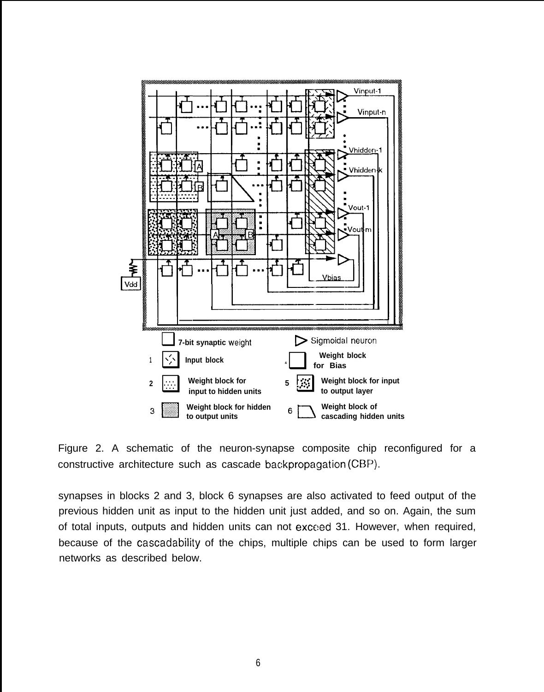



synapses in blocks 2 and 3, block 6 synapses are also activated to feed output of the previous hidden unit as input to the hidden unit just added, and so on. Again, the sum of total inputs, outputs and hidden units can not exceed 31. However, when required, because of the cascadability of the chips, multiple chips can be used to form larger networks as described below.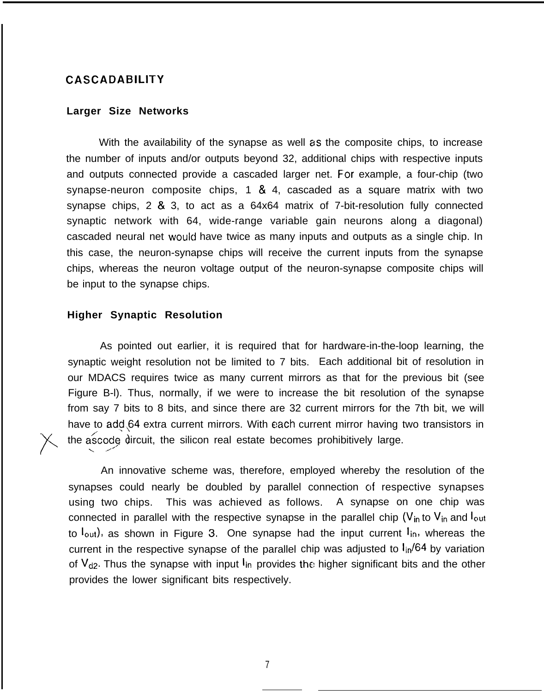### **CASCADABILITY**

#### **Larger Size Networks**

With the availability of the synapse as well as the composite chips, to increase the number of inputs and/or outputs beyond 32, additional chips with respective inputs and outputs connected provide a cascaded larger net. For example, a four-chip (two synapse-neuron composite chips, 1  $\&$  4, cascaded as a square matrix with two synapse chips, 2 & 3, to act as a 64x64 matrix of 7-bit-resolution fully connected synaptic network with 64, wide-range variable gain neurons along a diagonal) cascaded neural net would have twice as many inputs and outputs as a single chip. In this case, the neuron-synapse chips will receive the current inputs from the synapse chips, whereas the neuron voltage output of the neuron-synapse composite chips will be input to the synapse chips.

#### **Higher Synaptic Resolution**

**)'\**

As pointed out earlier, it is required that for hardware-in-the-loop learning, the synaptic weight resolution not be limited to 7 bits. Each additional bit of resolution in our MDACS requires twice as many current mirrors as that for the previous bit (see Figure B-l). Thus, normally, if we were to increase the bit resolution of the synapse from say 7 bits to 8 bits, and since there are 32 current mirrors for the 7th bit, we will have to add 64 extra current mirrors. With each current mirror having two transistors in  $\frac{1}{2}$  as the ascode dircuit, the silicon real estate becomes prohibitively large. .,,

An innovative scheme was, therefore, employed whereby the resolution of the synapses could nearly be doubled by parallel connection of respective synapses using two chips. This was achieved as follows. A synapse on one chip was connected in parallel with the respective synapse in the parallel chip ( $V_{in}$  to  $V_{in}$  and  $I_{out}$ to  $I_{\text{out}}$ ), as shown in Figure 3. One synapse had the input current  $I_{\text{in}}$ , whereas the current in the respective synapse of the parallel chip was adjusted to  $I_{in}/64$  by variation of V<sub>d2</sub>. Thus the synapse with input l<sub>in</sub> provides the higher significant bits and the other provides the lower significant bits respectively.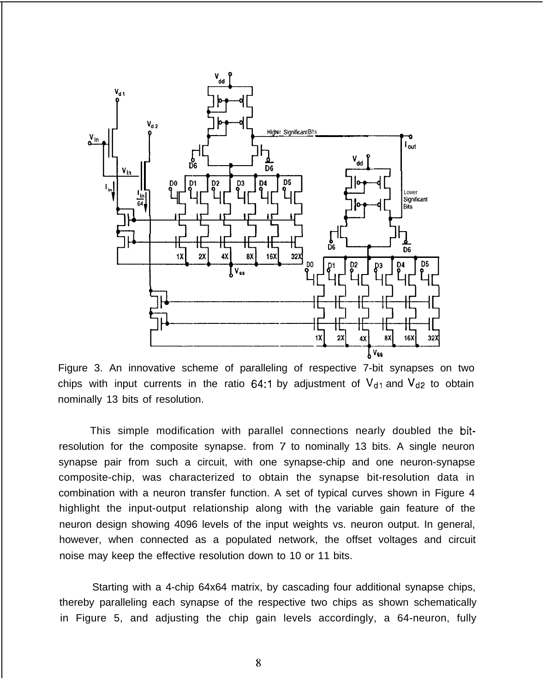

Figure 3. An innovative scheme of paralleling of respective 7-bit synapses on two chips with input currents in the ratio 64:1 by adjustment of  $V_{d1}$  and  $V_{d2}$  to obtain nominally 13 bits of resolution.

This simple modification with parallel connections nearly doubled the bitresolution for the composite synapse. from 7 to nominally 13 bits. A single neuron synapse pair from such a circuit, with one synapse-chip and one neuron-synapse composite-chip, was characterized to obtain the synapse bit-resolution data in combination with a neuron transfer function. A set of typical curves shown in Figure 4 highlight the input-output relationship along with the variable gain feature of the neuron design showing 4096 levels of the input weights vs. neuron output. In general, however, when connected as a populated network, the offset voltages and circuit noise may keep the effective resolution down to 10 or 11 bits.

Starting with a 4-chip 64x64 matrix, by cascading four additional synapse chips, thereby paralleling each synapse of the respective two chips as shown schematically in Figure 5, and adjusting the chip gain levels accordingly, a 64-neuron, fully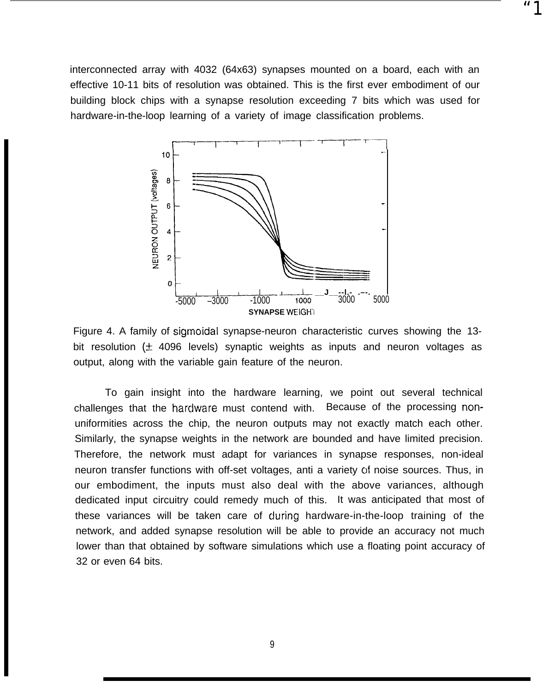interconnected array with 4032 (64x63) synapses mounted on a board, each with an effective 10-11 bits of resolution was obtained. This is the first ever embodiment of our building block chips with a synapse resolution exceeding 7 bits which was used for hardware-in-the-loop learning of a variety of image classification problems.

"1



Figure 4. A family of sigmoidal synapse-neuron characteristic curves showing the 13 bit resolution ( $\pm$  4096 levels) synaptic weights as inputs and neuron voltages as output, along with the variable gain feature of the neuron.

To gain insight into the hardware learning, we point out several technical challenges that the hardware must contend with. Because of the processing nonuniformities across the chip, the neuron outputs may not exactly match each other. Similarly, the synapse weights in the network are bounded and have limited precision. Therefore, the network must adapt for variances in synapse responses, non-ideal neuron transfer functions with off-set voltages, anti a variety of noise sources. Thus, in our embodiment, the inputs must also deal with the above variances, although dedicated input circuitry could remedy much of this. It was anticipated that most of these variances will be taken care of cluring hardware-in-the-loop training of the network, and added synapse resolution will be able to provide an accuracy not much lower than that obtained by software simulations which use a floating point accuracy of 32 or even 64 bits.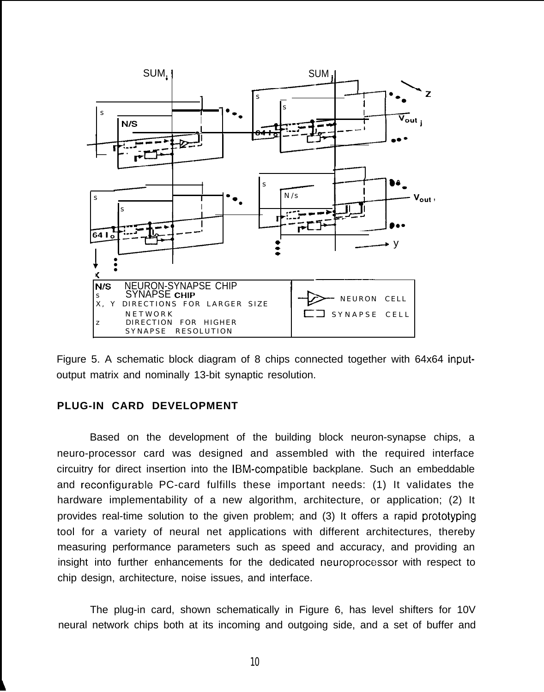



## **PLUG-IN CARD DEVELOPMENT**

Based on the development of the building block neuron-synapse chips, a neuro-processor card was designed and assembled with the required interface circuitry for direct insertion into the lBM-compatible backplane. Such an embeddable and reconfigurable PC-card fulfills these important needs: (1) It validates the hardware implementability of a new algorithm, architecture, or application; (2) It provides real-time solution to the given problem; and (3) It offers a rapid prototyping tool for a variety of neural net applications with different architectures, thereby measuring performance parameters such as speed and accuracy, and providing an insight into further enhancements for the dedicated neuroprocessor with respect to chip design, architecture, noise issues, and interface.

The plug-in card, shown schematically in Figure 6, has level shifters for 10V neural network chips both at its incoming and outgoing side, and a set of buffer and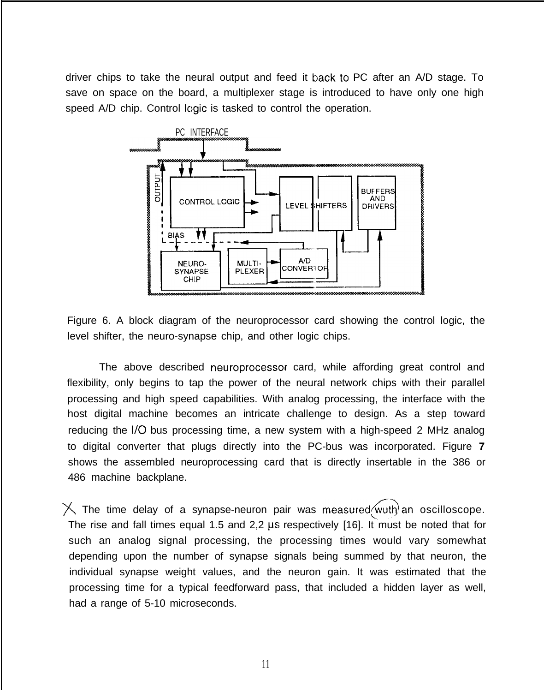driver chips to take the neural output and feed it backto PC after an A/D stage. To save on space on the board, a multiplexer stage is introduced to have only one high speed A/D chip. Control logic is tasked to control the operation.



Figure 6. A block diagram of the neuroprocessor card showing the control logic, the level shifter, the neuro-synapse chip, and other logic chips.

The above described neuroprocessor card, while affording great control and flexibility, only begins to tap the power of the neural network chips with their parallel processing and high speed capabilities. With analog processing, the interface with the host digital machine becomes an intricate challenge to design. As a step toward reducing the 1/0 bus processing time, a new system with a high-speed 2 MHz analog to digital converter that plugs directly into the PC-bus was incorporated. Figure **7** shows the assembled neuroprocessing card that is directly insertable in the 386 or 486 machine backplane.

 $\times$  The time delay of a synapse-neuron pair was measured/wuth an oscilloscope. The rise and fall times equal 1.5 and 2,2  $\mu$ s respectively [16]. It must be noted that for such an analog signal processing, the processing times would vary somewhat depending upon the number of synapse signals being summed by that neuron, the individual synapse weight values, and the neuron gain. It was estimated that the processing time for a typical feedforward pass, that included a hidden layer as well, had a range of 5-10 microseconds.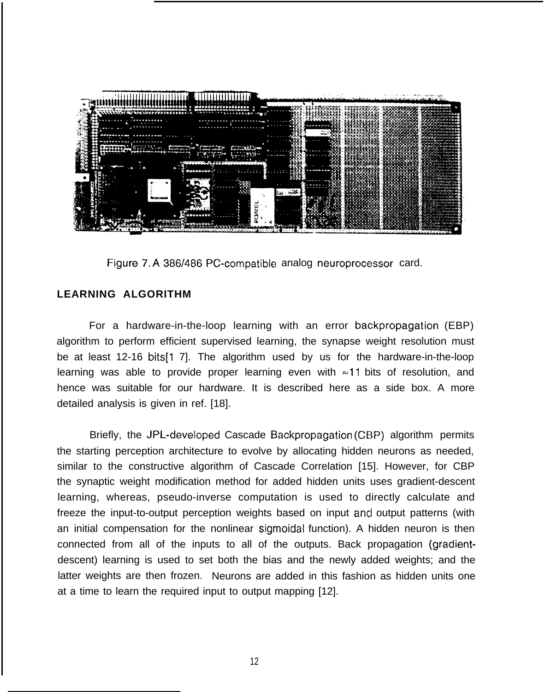| $\frac{1}{\frac{1}{1-\frac{1}{1-\frac{1}{1-\frac{1}{1-\frac{1}{1-\frac{1}{1-\frac{1}{1-\frac{1}{1-\frac{1}{1-\frac{1}{1-\frac{1}{1-\frac{1}{1-\frac{1}{1-\frac{1}{1-\frac{1}{1-\frac{1}{1-\frac{1}{1-\frac{1}{1-\frac{1}{1-\frac{1}{1-\frac{1}{1-\frac{1}{1-\frac{1}{1-\frac{1}{1-\frac{1}{1-\frac{1}{1-\frac{1}{1-\frac{1}{1-\frac{1}{1-\frac{1}{1-\frac{1}{1-\frac{1}{1-\frac{1}{1-\frac{1}{1-\frac{1}{1-\frac{1}{$ | しめいかく ハッサル・コントル<br><b>MEXIMORA TANARAMERA</b><br><b>STATISTICS OF STATISTICS</b><br><b>DOMAND AGE</b><br><b>MARINE AND RESIDENCE</b>                                                                                                                                                                                                                                                                                                                                                                                                                                                                                                                                                                                                                                                                                                        |
|-----------------------------------------------------------------------------------------------------------------------------------------------------------------------------------------------------------------------------------------------------------------------------------------------------------------------------------------------------------------------------------------------------------------------|---------------------------------------------------------------------------------------------------------------------------------------------------------------------------------------------------------------------------------------------------------------------------------------------------------------------------------------------------------------------------------------------------------------------------------------------------------------------------------------------------------------------------------------------------------------------------------------------------------------------------------------------------------------------------------------------------------------------------------------------------------------------------------------------------------------------------------------------|
| ---------<br>. <del>.</del><br><i></i><br>$\cdots$<br>MAGRODURE, LOSSOS DUCCO                                                                                                                                                                                                                                                                                                                                         | <b><i><u>COLORADO COMPRE</u>ND</i></b><br><b>Company for the company</b><br><b><i><u>OCOGEGEGEGEGE</u></i></b><br><b>COMPLETED CONTRACTOR</b><br><b>MARINE</b><br><b>NUMBER OF STREET</b><br><b>Total creaturers are to</b><br><b>RAMANA</b><br><b>BOOK CONTRACTOR</b><br><b><i><u>ROQUIDITION</u></i></b><br><b>BARRACHE</b><br><b>Service Le Service et Court de la Communista de la Communista de la Communista de la Communista de la Communista de la Communista de la Communista de la Communista de la Communista de la Communista de la Communista de la </b><br><b>MAGGARAS</b><br><b><i><u>REPORT OF CHARLES</u></i></b><br>202220225564<br><b>KODDANADIO IN ANTIQUE</b>                                                                                                                                                          |
| $- - - - - - -$<br><b>NAMES AND A REAL PROPERTY OF A</b><br>$\sim$<br>a boounuuu a                                                                                                                                                                                                                                                                                                                                    | <b><i>CONTRACTOR CONTRACTOR</i></b><br><b>CONTONICATE</b><br><b>MARIA MARIA</b><br>detailed the company of<br>5567 1206200666<br><b>CONTRACTOR</b> CONTRACTO<br>90000000000<br><b><i>EXCLUSIVE LIFEST</i></b><br><u>ಕಲಾಕರಾಜಕ ಇದಿಗೆ</u><br><b><i><u><u>STROOM CHARLOUGH</u></u></i></b><br>as anno mon<br>ስል አል አለ ላለ አለ አል<br><b>DOM: NO ON THE REAL PROPERTY</b><br><b>CAGEDIAN COORD</b><br><b><i><u>CONTRACTORYSTYPE</u></i></b><br>DECODED NAMES<br><b><i><u><i><u>Extendants Contractors Contractors Contractors Contractors Contractors Contractors Contractors Contractors Contractors Contractors Contractors Contractors Contractors Contractors Contractors Contractors Contractors Co</u></i></u></i></b><br><b>Construction States</b><br><b>WARD COMMERCIAL</b><br><b>STATE CONSUMER</b><br><b><i>CARD COMPANY COMPANY</i></b> |
| un concern<br><b>CLASS CALLS</b>                                                                                                                                                                                                                                                                                                                                                                                      | THE EXPLORATION CONTINUES.<br><b>BALDAS BALDASAS</b><br>100222999<br><b><i>DATA DATA DE DE CROSS</i></b><br><b>POLICE AND THE REAL</b><br>აპრიი ართი -<br><b>To a reconcern of the company</b><br><b>Representation</b><br><b>TO BOOT CONTRACTORY</b><br><b><i><u>DAY CALCAR AREA PERSON</u></i></b><br><b>SERVICE AND THE</b><br><b><i><u>RANGERATA BARAT</u></i></b><br><b><i>LEGENDRITHER</i></b><br>2000000000000000<br><b>Linux in a construction</b><br><b>MARK SPORTS</b><br><b>Books Montgomery</b><br>$\overline{1}$ . $\cdots$ , $\cdots$ , $\cdots$ , $\cdots$ , $\cdots$ , $\cdots$ , $\cdots$ , $\cdots$<br><b>EXPERIMENTATION CONTINUES.</b><br><b>MARTING OF PRINCIP</b><br>100100021000<br><b>COLORADO SANDO - BORDANIMINALES</b>                                                                                           |
| , <b>.</b><br>wpouuouch<br>alelelelelekteringi in Trimer e                                                                                                                                                                                                                                                                                                                                                            | <b><i><u>Extendiburganeous</u></i></b><br><b>COOLD DESCRIPTION OF A STATE OF A STATE OF A STATE OF A STATE OF A STATE OF A STATE OF A STATE OF A STATE OF A</b><br><b><i><u><i><u>DOMINISTRATIVE</u></i></u></i></b><br><b>AND STREET REPORT OF A STREET</b><br><b>COLORADO ANGELES - TELEVISION NATIONAL</b><br><b>A PARTICIPATOR AND A PRODUCT OF A PARTICIPATOR</b><br><b>DOM YOUR COMMON</b><br><b>International Control</b><br><b>Contractor</b> aver<br>and the complete state of the selection of the selection of the contract of the                                                                                                                                                                                                                                                                                               |

Figure 7. A 386/486 PC-compatible analog neuroprocessor card.

# **LEARNING ALGORITHM**

For a hardware-in-the-loop learning with an error backpropagation (EBP) algorithm to perform efficient supervised learning, the synapse weight resolution must be at least 12-16 bits[1 7]. The algorithm used by us for the hardware-in-the-loop learning was able to provide proper learning even with  $\approx$ 11 bits of resolution, and hence was suitable for our hardware. It is described here as a side box. A more detailed analysis is given in ref. [18].

Briefly, the JPL-developed Cascade Backpropagation (CBP) algorithm permits the starting perception architecture to evolve by allocating hidden neurons as needed, similar to the constructive algorithm of Cascade Correlation [15]. However, for CBP the synaptic weight modification method for added hidden units uses gradient-descent learning, whereas, pseudo-inverse computation is used to directly calculate and freeze the input-to-output perception weights based on input and output patterns (with an initial compensation for the nonlinear sigmoidal function). A hidden neuron is then connected from all of the inputs to all of the outputs. Back propagation (gradientdescent) learning is used to set both the bias and the newly added weights; and the latter weights are then frozen. Neurons are added in this fashion as hidden units one at a time to learn the required input to output mapping [12].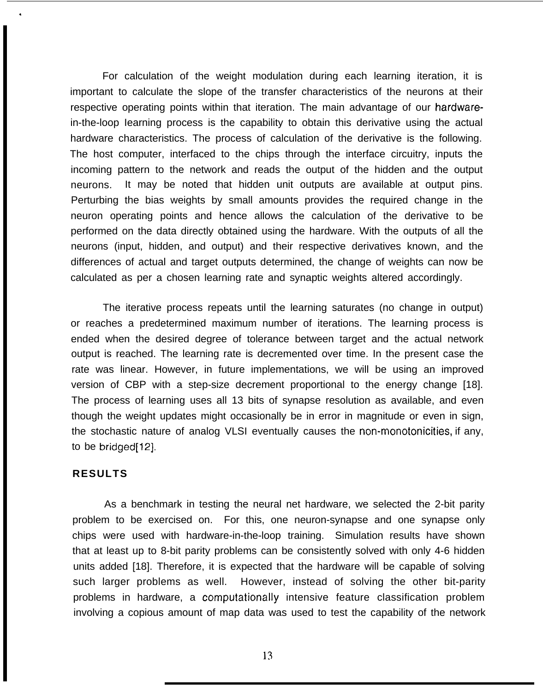For calculation of the weight modulation during each learning iteration, it is important to calculate the slope of the transfer characteristics of the neurons at their respective operating points within that iteration. The main advantage of our hardwarein-the-loop Iearning process is the capability to obtain this derivative using the actual hardware characteristics. The process of calculation of the derivative is the following. The host computer, interfaced to the chips through the interface circuitry, inputs the incoming pattern to the network and reads the output of the hidden and the output neurons. It may be noted that hidden unit outputs are available at output pins. Perturbing the bias weights by small amounts provides the required change in the neuron operating points and hence allows the calculation of the derivative to be performed on the data directly obtained using the hardware. With the outputs of all the neurons (input, hidden, and output) and their respective derivatives known, and the differences of actual and target outputs determined, the change of weights can now be calculated as per a chosen learning rate and synaptic weights altered accordingly.

The iterative process repeats until the learning saturates (no change in output) or reaches a predetermined maximum number of iterations. The learning process is ended when the desired degree of tolerance between target and the actual network output is reached. The learning rate is decremented over time. In the present case the rate was linear. However, in future implementations, we will be using an improved version of CBP with a step-size decrement proportional to the energy change [18]. The process of learning uses all 13 bits of synapse resolution as available, and even though the weight updates might occasionally be in error in magnitude or even in sign, the stochastic nature of analog VLSI eventually causes the non-monotonicities, if any, to be bridged[12].

#### **RESULTS**

.

As a benchmark in testing the neural net hardware, we selected the 2-bit parity problem to be exercised on. For this, one neuron-synapse and one synapse only chips were used with hardware-in-the-loop training. Simulation results have shown that at least up to 8-bit parity problems can be consistently solved with only 4-6 hidden units added [18]. Therefore, it is expected that the hardware will be capable of solving such larger problems as well. However, instead of solving the other bit-parity problems in hardware, a computationally intensive feature classification problem involving a copious amount of map data was used to test the capability of the network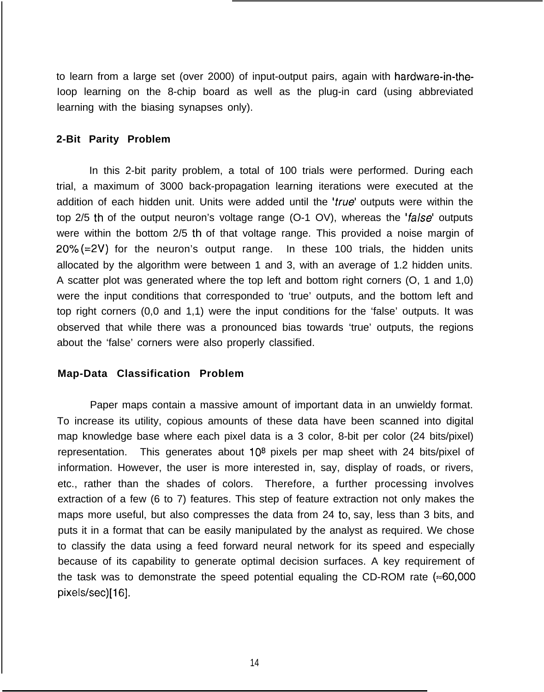to learn from a large set (over 2000) of input-output pairs, again with hardware-in-the-Ioop learning on the 8-chip board as well as the plug-in card (using abbreviated learning with the biasing synapses only).

#### **2-Bit Parity Problem**

In this 2-bit parity problem, a total of 100 trials were performed. During each trial, a maximum of 3000 back-propagation learning iterations were executed at the addition of each hidden unit. Units were added until the 'true' outputs were within the top 2/5 th of the output neuron's voltage range  $(O-1 OV)$ , whereas the 'false' outputs were within the bottom 2/5 th of that voltage range. This provided a noise margin of  $20\%$  (=2V) for the neuron's output range. In these 100 trials, the hidden units allocated by the algorithm were between 1 and 3, with an average of 1.2 hidden units. A scatter plot was generated where the top left and bottom right corners (O, 1 and 1,0) were the input conditions that corresponded to 'true' outputs, and the bottom left and top right corners (0,0 and 1,1) were the input conditions for the 'false' outputs. It was observed that while there was a pronounced bias towards 'true' outputs, the regions about the 'false' corners were also properly classified.

#### **Map-Data Classification Problem**

Paper maps contain a massive amount of important data in an unwieldy format. To increase its utility, copious amounts of these data have been scanned into digital map knowledge base where each pixel data is a 3 color, 8-bit per color (24 bits/pixel) representation. This generates about  $10<sup>8</sup>$  pixels per map sheet with 24 bits/pixel of information. However, the user is more interested in, say, display of roads, or rivers, etc., rather than the shades of colors. Therefore, a further processing involves extraction of a few (6 to 7) features. This step of feature extraction not only makes the maps more useful, but also compresses the data from 24 to, say, less than 3 bits, and puts it in a format that can be easily manipulated by the analyst as required. We chose to classify the data using a feed forward neural network for its speed and especially because of its capability to generate optimal decision surfaces. A key requirement of the task was to demonstrate the speed potential equaling the CD-ROM rate  $(*60,000$ pixels/sec)[16].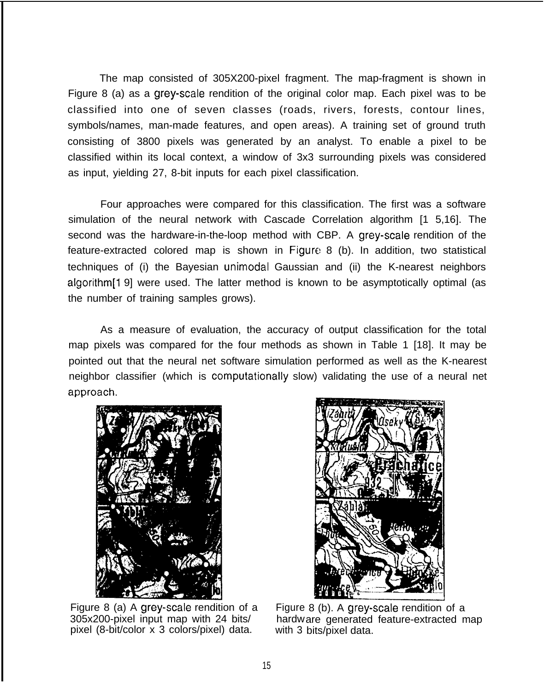The map consisted of 305X200-pixel fragment. The map-fragment is shown in Figure 8 (a) as a grey-scale rendition of the original color map. Each pixel was to be classified into one of seven classes (roads, rivers, forests, contour lines, symbols/names, man-made features, and open areas). A training set of ground truth consisting of 3800 pixels was generated by an analyst. To enable a pixel to be classified within its local context, a window of 3x3 surrounding pixels was considered as input, yielding 27, 8-bit inputs for each pixel classification.

Four approaches were compared for this classification. The first was a software simulation of the neural network with Cascade Correlation algorithm [1 5,16]. The second was the hardware-in-the-loop method with CBP. A grey-scale rendition of the feature-extracted colored map is shown in Figure 8 (b). In addition, two statistical techniques of (i) the Bayesian unimodal Gaussian and (ii) the K-nearest neighbors algorithm<sup>[1 9]</sup> were used. The latter method is known to be asymptotically optimal (as the number of training samples grows).

As a measure of evaluation, the accuracy of output classification for the total map pixels was compared for the four methods as shown in Table 1 [18]. It may be pointed out that the neural net software simulation performed as well as the K-nearest neighbor classifier (which is computationally slow) validating the use of a neural net approach.



Figure 8 (a) A grey-scale rendition of a 305x200-pixel input map with 24 bits/ pixel (8-bit/color x 3 colors/pixel) data.



Figure 8 (b). A grey-scale rendition of a hardw are generated feature-extracted map with 3 bits/pixel data.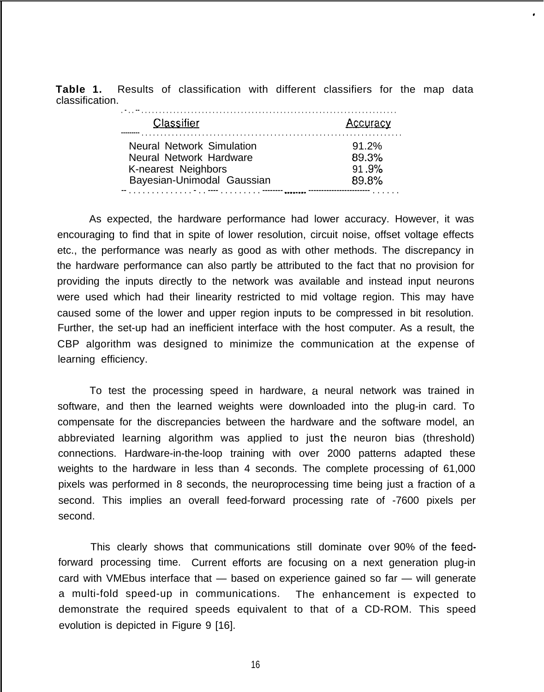**Table 1.** Results of classification with different classifiers for the map data classification.

,

| Classifier                                                                         | Accuracy                   |
|------------------------------------------------------------------------------------|----------------------------|
| <b>Neural Network Simulation</b><br>Neural Network Hardware<br>K-nearest Neighbors | $91.2\%$<br>89.3%<br>91.9% |
| Bayesian-Unimodal Gaussian                                                         | 89.8%                      |

As expected, the hardware performance had lower accuracy. However, it was encouraging to find that in spite of lower resolution, circuit noise, offset voltage effects etc., the performance was nearly as good as with other methods. The discrepancy in the hardware performance can also partly be attributed to the fact that no provision for providing the inputs directly to the network was available and instead input neurons were used which had their linearity restricted to mid voltage region. This may have caused some of the lower and upper region inputs to be compressed in bit resolution. Further, the set-up had an inefficient interface with the host computer. As a result, the CBP algorithm was designed to minimize the communication at the expense of learning efficiency.

To test the processing speed in hardware, a neural network was trained in software, and then the learned weights were downloaded into the plug-in card. To compensate for the discrepancies between the hardware and the software model, an abbreviated learning algorithm was applied to just the neuron bias (threshold) connections. Hardware-in-the-loop training with over 2000 patterns adapted these weights to the hardware in less than 4 seconds. The complete processing of 61,000 pixels was performed in 8 seconds, the neuroprocessing time being just a fraction of a second. This implies an overall feed-forward processing rate of -7600 pixels per second.

This clearly shows that communications still dominate cwer 90% of the feedforward processing time. Current efforts are focusing on a next generation plug-in card with VMEbus interface that — based on experience gained so far — will generate a multi-fold speed-up in communications. The enhancement is expected to demonstrate the required speeds equivalent to that of a CD-ROM. This speed evolution is depicted in Figure 9 [16].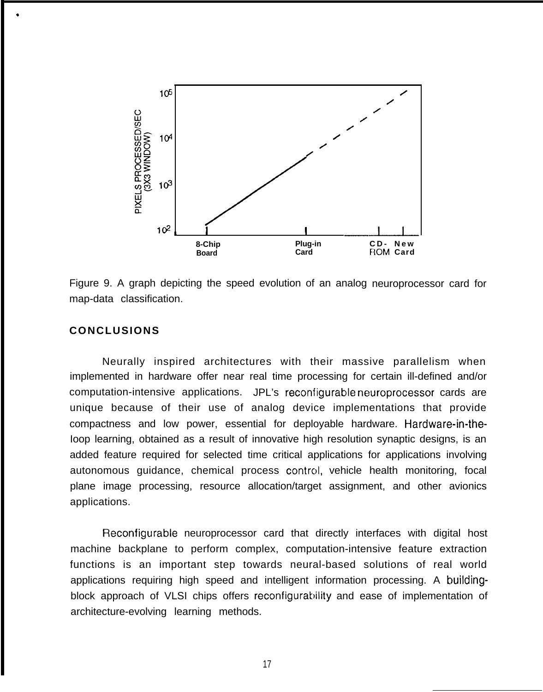

Figure 9. A graph depicting the speed evolution of an analog neuroprocessor card for map-data classification.

# **CONCLUSIONS**

\*

Neurally inspired architectures with their massive parallelism when implemented in hardware offer near real time processing for certain ill-defined and/or computation-intensive applications. JPL's reconfigurable neuroprocessor cards are unique because of their use of analog device implementations that provide compactness and low power, essential for deployable hardware. Hardware-in-the-Ioop learning, obtained as a result of innovative high resolution synaptic designs, is an added feature required for selected time critical applications for applications involving autonomous guidance, chemical process control, vehicle health monitoring, focal plane image processing, resource allocation/target assignment, and other avionics applications.

Reconfigurable neuroprocessor card that directly interfaces with digital host machine backplane to perform complex, computation-intensive feature extraction functions is an important step towards neural-based solutions of real world applications requiring high speed and intelligent information processing. A buildingblock approach of VLSI chips offers reconfigurability and ease of implementation of architecture-evolving learning methods.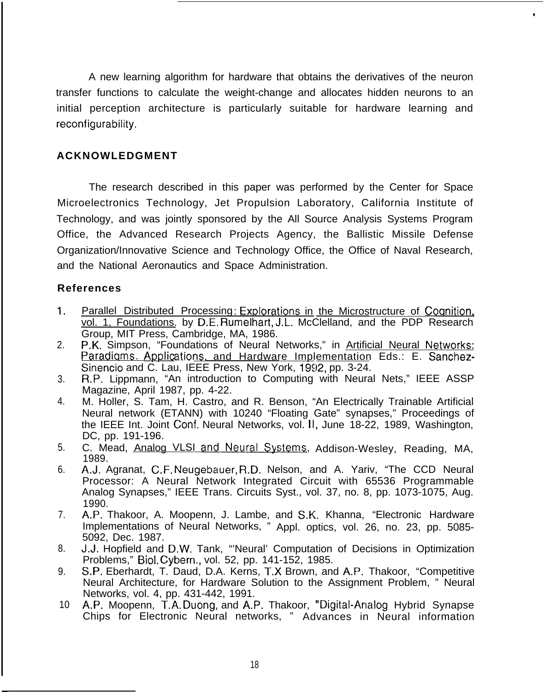A new learning algorithm for hardware that obtains the derivatives of the neuron transfer functions to calculate the weight-change and allocates hidden neurons to an initial perception architecture is particularly suitable for hardware learning and reconfigurability.

# **ACKNOWLEDGMENT**

The research described in this paper was performed by the Center for Space Microelectronics Technology, Jet Propulsion Laboratory, California Institute of Technology, and was jointly sponsored by the All Source Analysis Systems Program Office, the Advanced Research Projects Agency, the Ballistic Missile Defense Organization/Innovative Science and Technology Office, the Office of Naval Research, and the National Aeronautics and Space Administration.

# **References**

- 1. Parallel Distributed Processing: Explorations in the Microstructure of Cognition. vol. 1, Foundations. by D.E. Rumelhart, J.L. McClelland, and the PDP Research Group, MIT Press, Cambridge, MA, 1986.
- 2. P.K. Simpson, "Foundations of Neural Networks," in Artificial Neural Networks: Paradigms. Applications, and Hardware Implementation Eds.: E. Sanchez-Sinencio and C. Lau, IEEE Press, New York, 1992, pp. 3-24.
- 3. R.P. Lippmann, "An introduction to Computing with Neural Nets," IEEE ASSP Magazine, April 1987, pp. 4-22.
- 4. M. Holler, S. Tam, H. Castro, and R. Benson, "An Electrically Trainable Artificial Neural network (ETANN) with 10240 "Floating Gate" synapses," Proceedings of the IEEE Int. Joint Conf. Neural Networks, vol. 11, June 18-22, 1989, Washington, DC, pp. 191-196.
- 5. C. Mead, Analog VLSI and Neural Systems, Addison-Wesley, Reading, MA, 1989.
- 6. A.J. Agranat, C.F. Neugebauer, R.D. Nelson, and A. Yariv, "The CCD Neural Processor: A Neural Network Integrated Circuit with 65536 Programmable Analog Synapses," IEEE Trans. Circuits Syst., vol. 37, no. 8, pp. 1073-1075, Aug. 1990.
- 7. A.P. Thakoor, A. Moopenn, J. Lambe, and S.K. Khanna, "Electronic Hardware Implementations of Neural Networks, " Appl. optics, vol. 26, no. 23, pp. 5085- 5092, Dec. 1987.
- 8. J.J. Hopfield and D.W. Tank, "'Neural' Computation of Decisions in Optimization Problems," Biol. Cybern., vol. 52, pp. 141-152, 1985.
- 9. S.P. Eberhardt, T. Daud, D.A. Kerns, T.X Brown, and A.P. Thakoor, "Competitive Neural Architecture, for Hardware Solution to the Assignment Problem, " Neural Networks, vol. 4, pp. 431-442, 1991.
- 10 A.P. Moopenn, T.A. Duong, and A.P. Thakoor, "Digital-Analog Hybrid Synapse Chips for Electronic Neural networks, " Advances in Neural information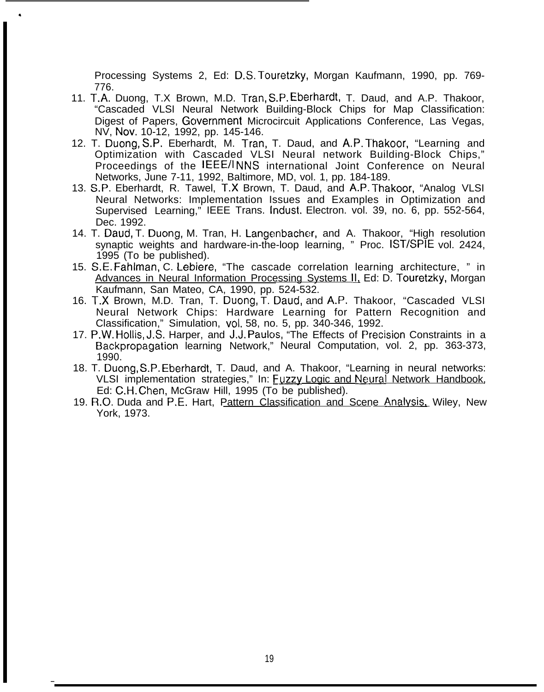Processing Systems 2, Ed: D.S, Touretzky, Morgan Kaufmann, 1990, pp. 769- 776.

- 11. T.A. Duong, T.X Brown, M.D. Tran, S.P. Eberhardt, T. Daud, and A.P. Thakoor, "Cascaded VLSI Neural Network Building-Block Chips for Map Classification: Digest of Papers, Government Microcircuit Applications Conference, Las Vegas, NV, Nov. 10-12, 1992, pp. 145-146.
- 12. T. Duong, S,P. Eberhardt, M. Tran, T. Daud, and A.P. Thakoor, "Learning and Optimization with Cascaded VLSI Neural network Building-Block Chips," Proceedings of the lEEE/l NNS international Joint Conference on Neural Networks, June 7-11, 1992, Baltimore, MD, vol. 1, pp. 184-189.
- 13. S.P. Eberhardt, R. Tawel, T.X Brown, T. Daud, and A.P. Thakoor, "Analog VLSI Neural Networks: Implementation Issues and Examples in Optimization and Supervised Learning," IEEE Trans. lndust. Electron. vol. 39, no. 6, pp. 552-564, Dec. 1992.
- 14. T. Daud, T. Duong, M. Tran, H. Langenbacher, and A. Thakoor, "High resolution synaptic weights and hardware-in-the-loop learning, " Proc. lST/SPIE vol. 2424, 1995 (To be published).
- 15. S.E. Fahlman, C. l-ebiere, "The cascade correlation learning architecture, " in Advances in Neural Information Processing Systems Il. Ed: D. Touretzky, Morgan Kaufmann, San Mateo, CA, 1990, pp. 524-532.
- 16. T.X Brown, M.D. Tran, T. Duong, T. Daud, and A.P. Thakoor, "Cascaded VLSI Neural Network Chips: Hardware Learning for Pattern Recognition and Classification," Simulation, vol. 58, no. 5, pp. 340-346, 1992.
- 17. P.W. Hollis, J.S. Harper, and J.J. Paulos, "The Effects of Precision Constraints in a Backpropagation learning Network," Neural Computation, vol. 2, pp. 363-373, 1990.
- 18. T. Duong, S.P. Eberhardt, T. Daud, and A. Thakoor, "Learning in neural networks: VLSI implementation strategies," In: Fuzzy Logic and Neural Network Handbook, Ed: C.H. Chen, McGraw Hill, 1995 (To be published).
- 19. R.O. Duda and P.E. Hart, Pattern Classification and Scene Analvsis. Wiley, New York, 1973.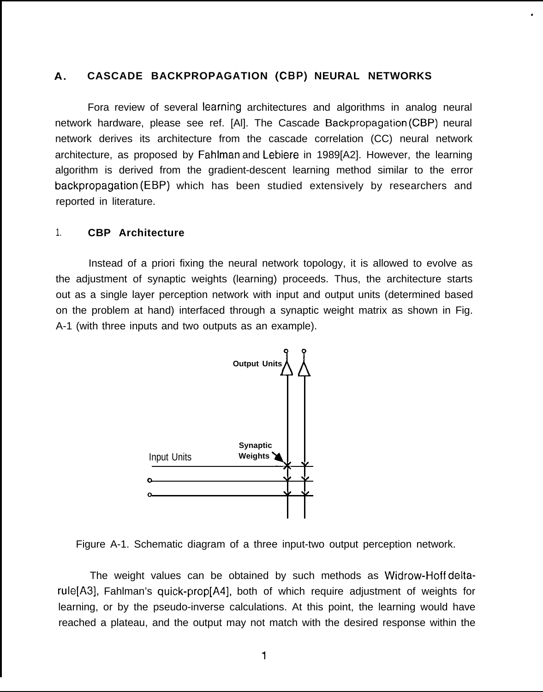### **A. CASCADE BACKPROPAGATION (CBP) NEURAL NETWORKS**

Fora review of several Iearning architectures and algorithms in analog neural network hardware, please see ref. [Al]. The Cascade Backpropagation (CBP) neural network derives its architecture from the cascade correlation (CC) neural network architecture, as proposed by Fahlman and Lebiere in 1989[A2]. However, the learning algorithm is derived from the gradient-descent learning method similar to the error backpropagation (EBP) which has been studied extensively by researchers and reported in literature.

#### 1. **CBP Architecture**

Instead of a priori fixing the neural network topology, it is allowed to evolve as the adjustment of synaptic weights (learning) proceeds. Thus, the architecture starts out as a single layer perception network with input and output units (determined based on the problem at hand) interfaced through a synaptic weight matrix as shown in Fig. A-1 (with three inputs and two outputs as an example).



Figure A-1. Schematic diagram of a three input-two output perception network.

The weight values can be obtained by such methods as Widrow-Hoff deltarule[A3], Fahlman's quick-prop[A4], both of which require adjustment of weights for learning, or by the pseudo-inverse calculations. At this point, the learning would have reached a plateau, and the output may not match with the desired response within the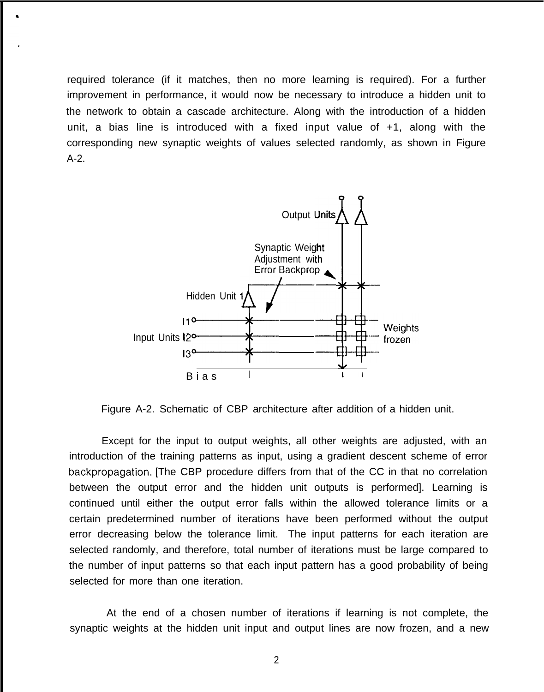required tolerance (if it matches, then no more learning is required). For a further improvement in performance, it would now be necessary to introduce a hidden unit to the network to obtain a cascade architecture. Along with the introduction of a hidden unit, a bias line is introduced with a fixed input value of +1, along with the corresponding new synaptic weights of values selected randomly, as shown in Figure A-2.



Figure A-2. Schematic of CBP architecture after addition of a hidden unit.

Except for the input to output weights, all other weights are adjusted, with an introduction of the training patterns as input, using a gradient descent scheme of error backpropagation. [The CBP procedure differs from that of the CC in that no correlation between the output error and the hidden unit outputs is performed]. Learning is continued until either the output error falls within the allowed tolerance limits or a certain predetermined number of iterations have been performed without the output error decreasing below the tolerance limit. The input patterns for each iteration are selected randomly, and therefore, total number of iterations must be large compared to the number of input patterns so that each input pattern has a good probability of being selected for more than one iteration.

At the end of a chosen number of iterations if learning is not complete, the synaptic weights at the hidden unit input and output lines are now frozen, and a new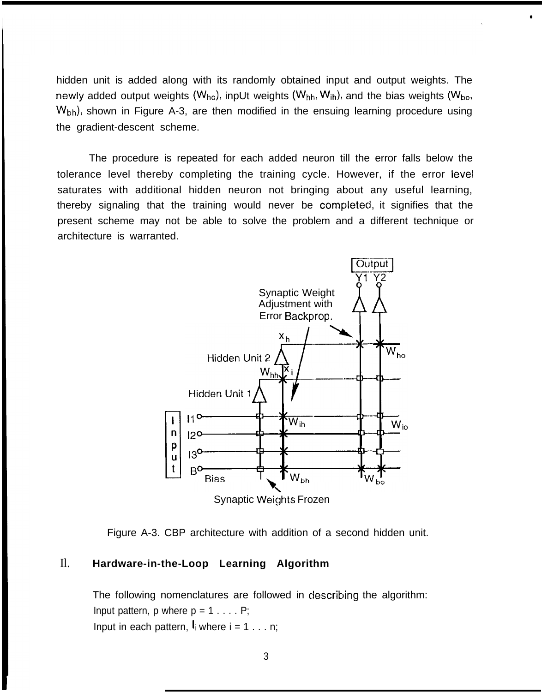hidden unit is added along with its randomly obtained input and output weights. The newly added output weights ( $W_{ho}$ ), inpUt weights ( $W_{hh}$ ,  $W_{ih}$ ), and the bias weights ( $W_{bo}$ , W<sub>bh</sub>), shown in Figure A-3, are then modified in the ensuing learning procedure using the gradient-descent scheme.

●

The procedure is repeated for each added neuron till the error falls below the tolerance level thereby completing the training cycle. However, if the error level saturates with additional hidden neuron not bringing about any useful learning, thereby signaling that the training would never be completed, it signifies that the present scheme may not be able to solve the problem and a different technique or architecture is warranted.





# Il. **Hardware-in-the-Loop Learning Algorithm**

The following nomenclatures are followed in describing the algorithm: Input pattern, p where  $p = 1 \ldots P$ ; Input in each pattern,  $I_i$  where  $i = 1 \ldots n$ ;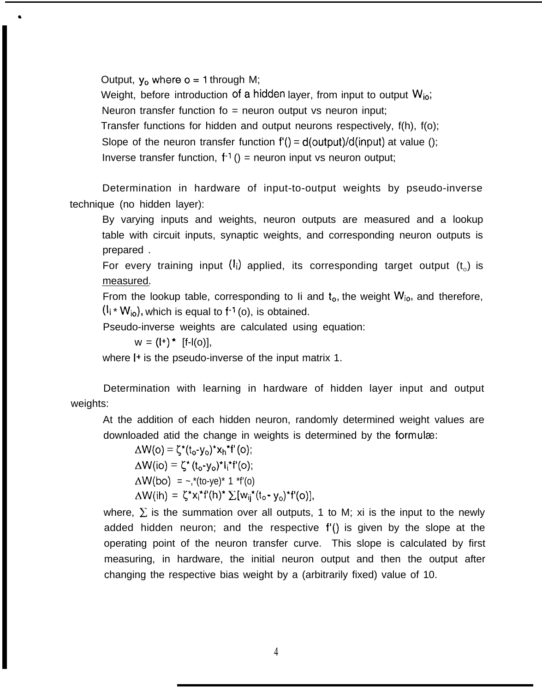Output,  $y_0$  where  $o = 1$  through M;

Weight, before introduction of a hidden layer, from input to output  $W_{io}$ ;

Neuron transfer function fo  $=$  neuron output vs neuron input;

Transfer functions for hidden and output neurons respectively, f(h), f(o);

Slope of the neuron transfer function  $f'( ) = d($ output $) / d($ input $)$  at value ();

Inverse transfer function,  $f^{-1}$  () = neuron input vs neuron output;

Determination in hardware of input-to-output weights by pseudo-inverse technique (no hidden layer):

By varying inputs and weights, neuron outputs are measured and a lookup table with circuit inputs, synaptic weights, and corresponding neuron outputs is prepared .

For every training input  $(i)$  applied, its corresponding target output  $(t_0)$  is measured.

From the lookup table, corresponding to Ii and  $t_0$ , the weight  $W_{i_0}$ , and therefore,  $(l_i * W_{io})$ , which is equal to  $f^{-1}(o)$ , is obtained.

Pseudo-inverse weights are calculated using equation:

 $W = (l^+)^*$  [f-l(o)],

where I<sup>+</sup> is the pseudo-inverse of the input matrix 1.

Determination with learning in hardware of hidden layer input and output weights:

At the addition of each hidden neuron, randomly determined weight values are downloaded atid the change in weights is determined by the formulæ:

 $\Delta W(o) = \zeta^*(t_o-y_o)^*x_h^*f'(o);$  $\Delta W(i\circ) = \zeta^* (t_0 - y_0)^* I_i^* f'(\circ);$  $\Delta W(bo) = -$ , \*(to-ye)\* 1 \*f'(o)  $\Delta W(ih) = \zeta^* x_i^* f'(h)^* \sum [w_{ij}^*(t_o - y_o)^* f'(o)],$ 

where,  $\Sigma$  is the summation over all outputs, 1 to M; xi is the input to the newly added hidden neuron; and the respective f'() is given by the slope at the operating point of the neuron transfer curve. This slope is calculated by first measuring, in hardware, the initial neuron output and then the output after changing the respective bias weight by a (arbitrarily fixed) value of 10.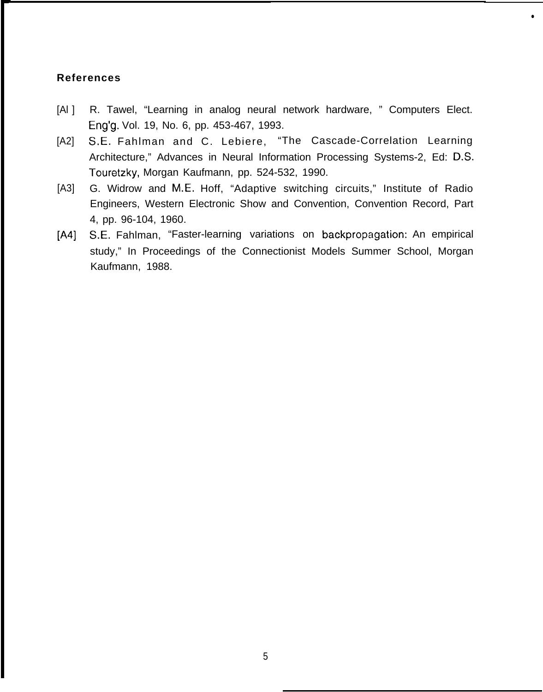# **References**

 $[Al]$ R. Tawel, "Learning in analog neural network hardware, " Computers Elect. Eng'g. Vol. 19, No. 6, pp. 453-467, 1993.

●

- [A2] S.E. Fahlman and C. Lebiere, "The Cascade-Correlation Learning Architecture," Advances in Neural Information Processing Systems-2, Ed: D.S. Touretzky, Morgan Kaufmann, pp. 524-532, 1990.
- [A3] G. Widrow and M.E. Hoff, "Adaptive switching circuits," Institute of Radio Engineers, Western Electronic Show and Convention, Convention Record, Part 4, pp. 96-104, 1960.
- [A4] S.E. Fahlman, "Faster-learning variations on backpropagation: An empirical study," In Proceedings of the Connectionist Models Summer School, Morgan Kaufmann, 1988.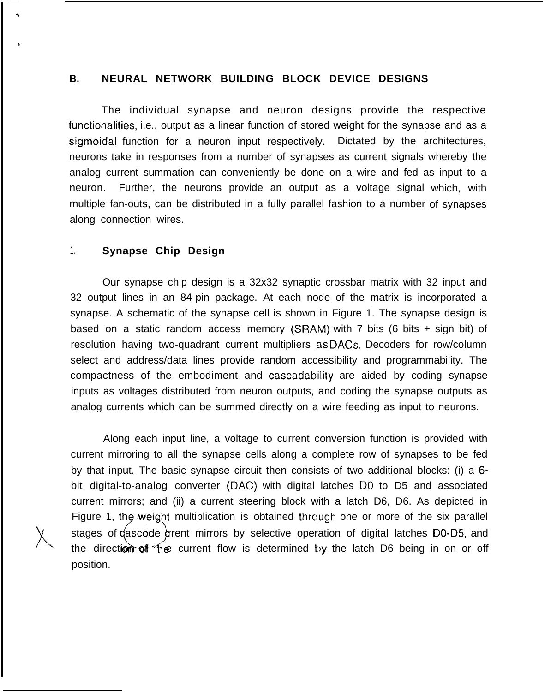### **B. NEURAL NETWORK BUILDING BLOCK DEVICE DESIGNS**

The individual synapse and neuron designs provide the respective functionalities, i.e., output as a linear function of stored weight for the synapse and as a sigmoidal function for a neuron input respectively. Dictated by the architectures, neurons take in responses from a number of synapses as current signals whereby the analog current summation can conveniently be done on a wire and fed as input to a neuron. Further, the neurons provide an output as a voltage signal which, with multiple fan-outs, can be distributed in a fully parallel fashion to a number of synapses along connection wires.

### 1. **Synapse Chip Design**

Our synapse chip design is a 32x32 synaptic crossbar matrix with 32 input and 32 output lines in an 84-pin package. At each node of the matrix is incorporated a synapse. A schematic of the synapse cell is shown in Figure 1. The synapse design is based on a static random access memory (SRAM) with 7 bits (6 bits + sign bit) of resolution having two-quadrant current multipliers as DACS. Decoders for row/column select and address/data lines provide random accessibility and programmability. The compactness of the embodiment and cascadability are aided by coding synapse inputs as voltages distributed from neuron outputs, and coding the synapse outputs as analog currents which can be summed directly on a wire feeding as input to neurons.

Along each input line, a voltage to current conversion function is provided with current mirroring to all the synapse cells along a complete row of synapses to be fed by that input. The basic synapse circuit then consists of two additional blocks: (i) a 6 bit digital-to-analog converter (DAC) with digital latches DO to D5 and associated current mirrors; and (ii) a current steering block with a latch D6, D6. As depicted in Figure 1, the weight multiplication is obtained through one or more of the six parallel<br>stages of gascode grent mirrors by selective operation of digital latches D0-D5, and stages of  $q$ ascode arrent mirrors by selective operation of digital latches D0-D5, and the direction-of the current flow is determined by the latch D6 being in on or off position.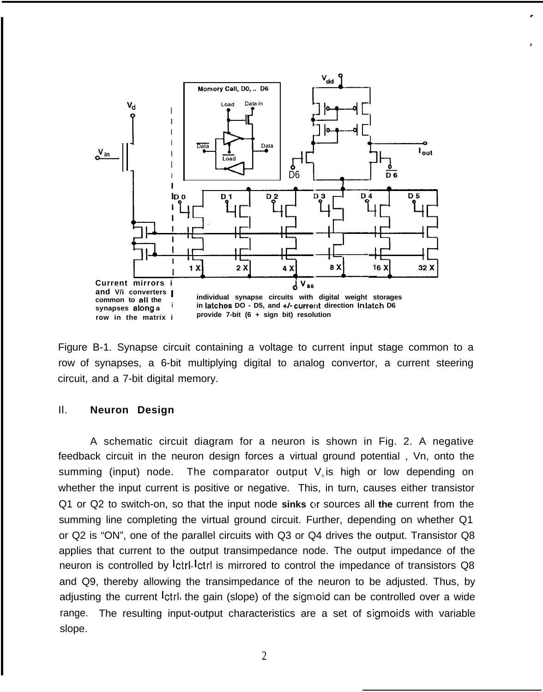

Figure B-1. Synapse circuit containing a voltage to current input stage common to a row of synapses, a 6-bit multiplying digital to analog convertor, a current steering circuit, and a 7-bit digital memory.

### Il. **Neuron Design**

A schematic circuit diagram for a neuron is shown in Fig. 2. A negative feedback circuit in the neuron design forces a virtual ground potential , Vn, onto the summing (input) node. The comparator output  $V<sub>c</sub>$  is high or low depending on whether the input current is positive or negative. This, in turn, causes either transistor Q1 or Q2 to switch-on, so that the input node sinks or sources all the current from the summing line completing the virtual ground circuit. Further, depending on whether Q1 or Q2 is "ON", one of the parallel circuits with Q3 or Q4 drives the output. Transistor Q8 applies that current to the output transimpedance node. The output impedance of the neuron is controlled by Ictrl. Ictrl is mirrored to control the impedance of transistors Q8 and Q9, thereby allowing the transimpedance of the neuron to be adjusted. Thus, by adjusting the current <sup>1</sup>ctrl, the gain (slope) of the sigmoid can be controlled over a wide range. The resulting input-output characteristics are a set of sigmoids with variable slope.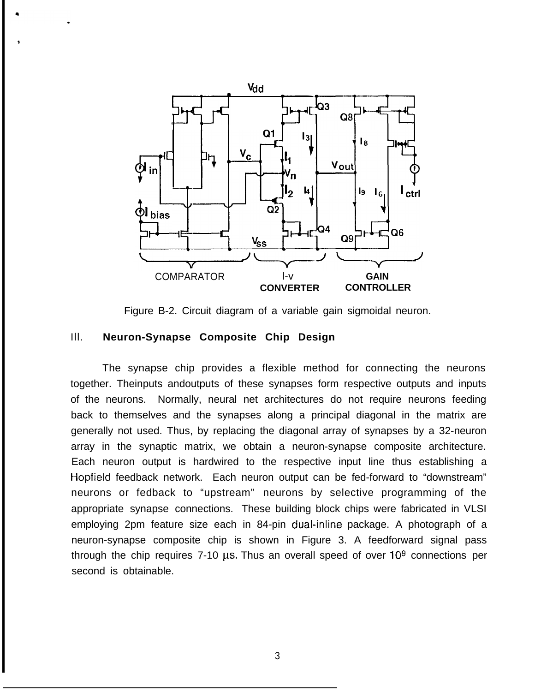

Figure B-2. Circuit diagram of a variable gain sigmoidal neuron.

### Ill. **Neuron-Synapse Composite Chip Design**

The synapse chip provides a flexible method for connecting the neurons together. Theinputs andoutputs of these synapses form respective outputs and inputs of the neurons. Normally, neural net architectures do not require neurons feeding back to themselves and the synapses along a principal diagonal in the matrix are generally not used. Thus, by replacing the diagonal array of synapses by a 32-neuron array in the synaptic matrix, we obtain a neuron-synapse composite architecture. Each neuron output is hardwired to the respective input line thus establishing a Hopfield feedback network. Each neuron output can be fed-forward to "downstream" neurons or fedback to "upstream" neurons by selective programming of the appropriate synapse connections. These building block chips were fabricated in VLSI employing 2pm feature size each in 84-pin dual-inline package. A photograph of a neuron-synapse composite chip is shown in Figure 3. A feedforward signal pass through the chip requires 7-10  $\mu$ s. Thus an overall speed of over 10<sup>9</sup> connections per second is obtainable.